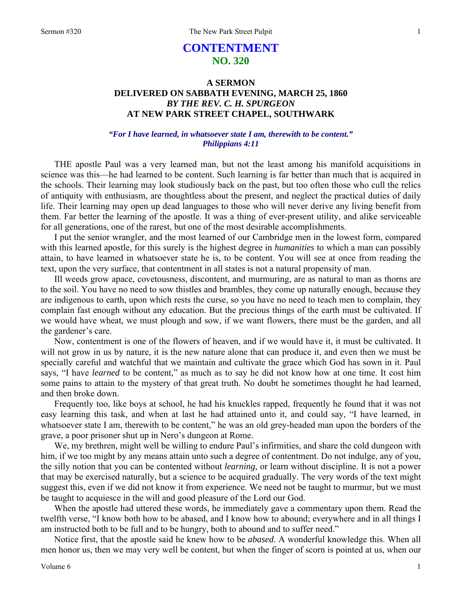# **CONTENTMENT NO. 320**

## **A SERMON DELIVERED ON SABBATH EVENING, MARCH 25, 1860**  *BY THE REV. C. H. SPURGEON*  **AT NEW PARK STREET CHAPEL, SOUTHWARK**

### *"For I have learned, in whatsoever state I am, therewith to be content." Philippians 4:11*

THE apostle Paul was a very learned man, but not the least among his manifold acquisitions in science was this—he had learned to be content. Such learning is far better than much that is acquired in the schools. Their learning may look studiously back on the past, but too often those who cull the relics of antiquity with enthusiasm, are thoughtless about the present, and neglect the practical duties of daily life. Their learning may open up dead languages to those who will never derive any living benefit from them. Far better the learning of the apostle. It was a thing of ever-present utility, and alike serviceable for all generations, one of the rarest, but one of the most desirable accomplishments.

I put the senior wrangler, and the most learned of our Cambridge men in the lowest form, compared with this learned apostle, for this surely is the highest degree in *humanities* to which a man can possibly attain, to have learned in whatsoever state he is, to be content. You will see at once from reading the text, upon the very surface, that contentment in all states is not a natural propensity of man.

Ill weeds grow apace, covetousness, discontent, and murmuring, are as natural to man as thorns are to the soil. You have no need to sow thistles and brambles, they come up naturally enough, because they are indigenous to earth, upon which rests the curse, so you have no need to teach men to complain, they complain fast enough without any education. But the precious things of the earth must be cultivated. If we would have wheat, we must plough and sow, if we want flowers, there must be the garden, and all the gardener's care.

Now, contentment is one of the flowers of heaven, and if we would have it, it must be cultivated. It will not grow in us by nature, it is the new nature alone that can produce it, and even then we must be specially careful and watchful that we maintain and cultivate the grace which God has sown in it. Paul says, "I have *learned* to be content," as much as to say he did not know how at one time. It cost him some pains to attain to the mystery of that great truth. No doubt he sometimes thought he had learned, and then broke down.

Frequently too, like boys at school, he had his knuckles rapped, frequently he found that it was not easy learning this task, and when at last he had attained unto it, and could say, "I have learned, in whatsoever state I am, therewith to be content," he was an old grey-headed man upon the borders of the grave, a poor prisoner shut up in Nero's dungeon at Rome.

We, my brethren, might well be willing to endure Paul's infirmities, and share the cold dungeon with him, if we too might by any means attain unto such a degree of contentment. Do not indulge, any of you, the silly notion that you can be contented without *learning,* or learn without discipline. It is not a power that may be exercised naturally, but a science to be acquired gradually. The very words of the text might suggest this, even if we did not know it from experience. We need not be taught to murmur, but we must be taught to acquiesce in the will and good pleasure of the Lord our God.

When the apostle had uttered these words, he immediately gave a commentary upon them. Read the twelfth verse, "I know both how to be abased, and I know how to abound; everywhere and in all things I am instructed both to be full and to be hungry, both to abound and to suffer need."

Notice first, that the apostle said he knew how to be *abased*. A wonderful knowledge this. When all men honor us, then we may very well be content, but when the finger of scorn is pointed at us, when our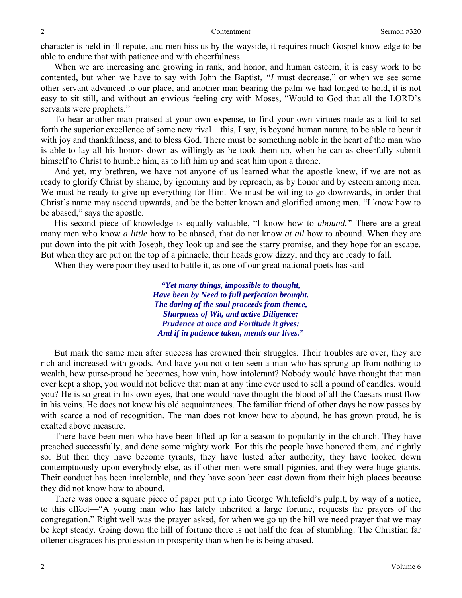character is held in ill repute, and men hiss us by the wayside, it requires much Gospel knowledge to be able to endure that with patience and with cheerfulness.

When we are increasing and growing in rank, and honor, and human esteem, it is easy work to be contented, but when we have to say with John the Baptist, *"I* must decrease," or when we see some other servant advanced to our place, and another man bearing the palm we had longed to hold, it is not easy to sit still, and without an envious feeling cry with Moses, "Would to God that all the LORD's servants were prophets."

To hear another man praised at your own expense, to find your own virtues made as a foil to set forth the superior excellence of some new rival—this, I say, is beyond human nature, to be able to bear it with joy and thankfulness, and to bless God. There must be something noble in the heart of the man who is able to lay all his honors down as willingly as he took them up, when he can as cheerfully submit himself to Christ to humble him, as to lift him up and seat him upon a throne.

And yet, my brethren, we have not anyone of us learned what the apostle knew, if we are not as ready to glorify Christ by shame, by ignominy and by reproach, as by honor and by esteem among men. We must be ready to give up everything for Him. We must be willing to go downwards, in order that Christ's name may ascend upwards, and be the better known and glorified among men. "I know how to be abased," says the apostle.

His second piece of knowledge is equally valuable, "I know how to *abound."* There are a great many men who know *a little* how to be abased, that do not know *at all* how to abound. When they are put down into the pit with Joseph, they look up and see the starry promise, and they hope for an escape. But when they are put on the top of a pinnacle, their heads grow dizzy, and they are ready to fall.

When they were poor they used to battle it, as one of our great national poets has said—

*"Yet many things, impossible to thought, Have been by Need to full perfection brought. The daring of the soul proceeds from thence, Sharpness of Wit, and active Diligence; Prudence at once and Fortitude it gives; And if in patience taken, mends our lives."* 

But mark the same men after success has crowned their struggles. Their troubles are over, they are rich and increased with goods. And have you not often seen a man who has sprung up from nothing to wealth, how purse-proud he becomes, how vain, how intolerant? Nobody would have thought that man ever kept a shop, you would not believe that man at any time ever used to sell a pound of candles, would you? He is so great in his own eyes, that one would have thought the blood of all the Caesars must flow in his veins. He does not know his old acquaintances. The familiar friend of other days he now passes by with scarce a nod of recognition. The man does not know how to abound, he has grown proud, he is exalted above measure.

There have been men who have been lifted up for a season to popularity in the church. They have preached successfully, and done some mighty work. For this the people have honored them, and rightly so. But then they have become tyrants, they have lusted after authority, they have looked down contemptuously upon everybody else, as if other men were small pigmies, and they were huge giants. Their conduct has been intolerable, and they have soon been cast down from their high places because they did not know how to abound.

There was once a square piece of paper put up into George Whitefield's pulpit, by way of a notice, to this effect—"A young man who has lately inherited a large fortune, requests the prayers of the congregation." Right well was the prayer asked, for when we go up the hill we need prayer that we may be kept steady. Going down the hill of fortune there is not half the fear of stumbling. The Christian far oftener disgraces his profession in prosperity than when he is being abased.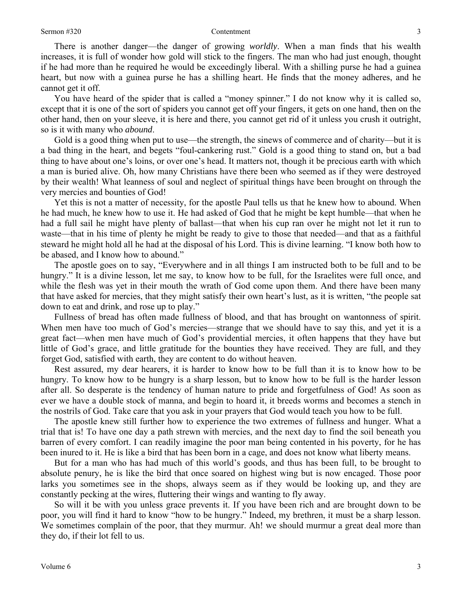### Sermon #320 Contentment

There is another danger—the danger of growing *worldly*. When a man finds that his wealth increases, it is full of wonder how gold will stick to the fingers. The man who had just enough, thought if he had more than he required he would be exceedingly liberal. With a shilling purse he had a guinea heart, but now with a guinea purse he has a shilling heart. He finds that the money adheres, and he cannot get it off.

You have heard of the spider that is called a "money spinner." I do not know why it is called so, except that it is one of the sort of spiders you cannot get off your fingers, it gets on one hand, then on the other hand, then on your sleeve, it is here and there, you cannot get rid of it unless you crush it outright, so is it with many who *abound*.

Gold is a good thing when put to use—the strength, the sinews of commerce and of charity—but it is a bad thing in the heart, and begets "foul-cankering rust." Gold is a good thing to stand on, but a bad thing to have about one's loins, or over one's head. It matters not, though it be precious earth with which a man is buried alive. Oh, how many Christians have there been who seemed as if they were destroyed by their wealth! What leanness of soul and neglect of spiritual things have been brought on through the very mercies and bounties of God!

Yet this is not a matter of necessity, for the apostle Paul tells us that he knew how to abound. When he had much, he knew how to use it. He had asked of God that he might be kept humble—that when he had a full sail he might have plenty of ballast—that when his cup ran over he might not let it run to waste—that in his time of plenty he might be ready to give to those that needed—and that as a faithful steward he might hold all he had at the disposal of his Lord. This is divine learning. "I know both how to be abased, and I know how to abound."

The apostle goes on to say, "Everywhere and in all things I am instructed both to be full and to be hungry." It is a divine lesson, let me say, to know how to be full, for the Israelites were full once, and while the flesh was yet in their mouth the wrath of God come upon them. And there have been many that have asked for mercies, that they might satisfy their own heart's lust, as it is written, "the people sat down to eat and drink, and rose up to play."

Fullness of bread has often made fullness of blood, and that has brought on wantonness of spirit. When men have too much of God's mercies—strange that we should have to say this, and yet it is a great fact—when men have much of God's providential mercies, it often happens that they have but little of God's grace, and little gratitude for the bounties they have received. They are full, and they forget God, satisfied with earth, they are content to do without heaven.

Rest assured, my dear hearers, it is harder to know how to be full than it is to know how to be hungry. To know how to be hungry is a sharp lesson, but to know how to be full is the harder lesson after all. So desperate is the tendency of human nature to pride and forgetfulness of God! As soon as ever we have a double stock of manna, and begin to hoard it, it breeds worms and becomes a stench in the nostrils of God. Take care that you ask in your prayers that God would teach you how to be full.

The apostle knew still further how to experience the two extremes of fullness and hunger. What a trial that is! To have one day a path strewn with mercies, and the next day to find the soil beneath you barren of every comfort. I can readily imagine the poor man being contented in his poverty, for he has been inured to it. He is like a bird that has been born in a cage, and does not know what liberty means.

But for a man who has had much of this world's goods, and thus has been full, to be brought to absolute penury, he is like the bird that once soared on highest wing but is now encaged. Those poor larks you sometimes see in the shops, always seem as if they would be looking up, and they are constantly pecking at the wires, fluttering their wings and wanting to fly away.

So will it be with you unless grace prevents it. If you have been rich and are brought down to be poor, you will find it hard to know "how to be hungry." Indeed, my brethren, it must be a sharp lesson. We sometimes complain of the poor, that they murmur. Ah! we should murmur a great deal more than they do, if their lot fell to us.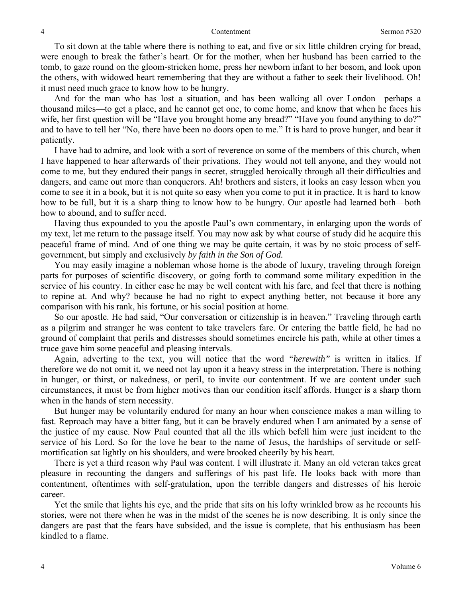To sit down at the table where there is nothing to eat, and five or six little children crying for bread, were enough to break the father's heart. Or for the mother, when her husband has been carried to the tomb, to gaze round on the gloom-stricken home, press her newborn infant to her bosom, and look upon the others, with widowed heart remembering that they are without a father to seek their livelihood. Oh! it must need much grace to know how to be hungry.

And for the man who has lost a situation, and has been walking all over London—perhaps a thousand miles—to get a place, and he cannot get one, to come home, and know that when he faces his wife, her first question will be "Have you brought home any bread?" "Have you found anything to do?" and to have to tell her "No, there have been no doors open to me." It is hard to prove hunger, and bear it patiently.

I have had to admire, and look with a sort of reverence on some of the members of this church, when I have happened to hear afterwards of their privations. They would not tell anyone, and they would not come to me, but they endured their pangs in secret, struggled heroically through all their difficulties and dangers, and came out more than conquerors. Ah! brothers and sisters, it looks an easy lesson when you come to see it in a book, but it is not quite so easy when you come to put it in practice. It is hard to know how to be full, but it is a sharp thing to know how to be hungry. Our apostle had learned both—both how to abound, and to suffer need.

Having thus expounded to you the apostle Paul's own commentary, in enlarging upon the words of my text, let me return to the passage itself. You may now ask by what course of study did he acquire this peaceful frame of mind. And of one thing we may be quite certain, it was by no stoic process of selfgovernment, but simply and exclusively *by faith in the Son of God.* 

You may easily imagine a nobleman whose home is the abode of luxury, traveling through foreign parts for purposes of scientific discovery, or going forth to command some military expedition in the service of his country. In either case he may be well content with his fare, and feel that there is nothing to repine at. And why? because he had no right to expect anything better, not because it bore any comparison with his rank, his fortune, or his social position at home.

So our apostle. He had said, "Our conversation or citizenship is in heaven." Traveling through earth as a pilgrim and stranger he was content to take travelers fare. Or entering the battle field, he had no ground of complaint that perils and distresses should sometimes encircle his path, while at other times a truce gave him some peaceful and pleasing intervals.

Again, adverting to the text, you will notice that the word *"herewith"* is written in italics. If therefore we do not omit it, we need not lay upon it a heavy stress in the interpretation. There is nothing in hunger, or thirst, or nakedness, or peril, to invite our contentment. If we are content under such circumstances, it must be from higher motives than our condition itself affords. Hunger is a sharp thorn when in the hands of stern necessity.

But hunger may be voluntarily endured for many an hour when conscience makes a man willing to fast. Reproach may have a bitter fang, but it can be bravely endured when I am animated by a sense of the justice of my cause. Now Paul counted that all the ills which befell him were just incident to the service of his Lord. So for the love he bear to the name of Jesus, the hardships of servitude or selfmortification sat lightly on his shoulders, and were brooked cheerily by his heart.

There is yet a third reason why Paul was content. I will illustrate it. Many an old veteran takes great pleasure in recounting the dangers and sufferings of his past life. He looks back with more than contentment, oftentimes with self-gratulation, upon the terrible dangers and distresses of his heroic career.

Yet the smile that lights his eye, and the pride that sits on his lofty wrinkled brow as he recounts his stories, were not there when he was in the midst of the scenes he is now describing. It is only since the dangers are past that the fears have subsided, and the issue is complete, that his enthusiasm has been kindled to a flame.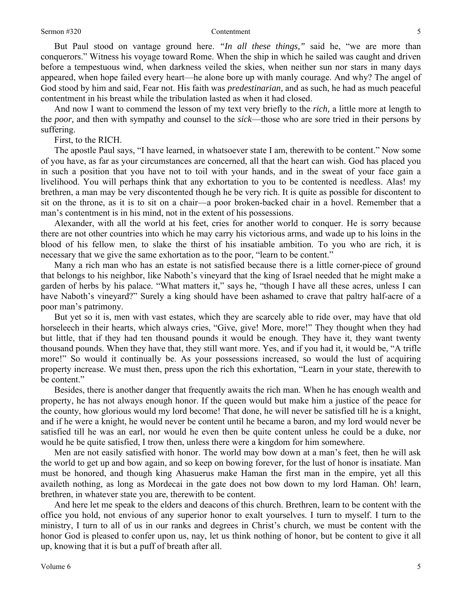But Paul stood on vantage ground here. *"In all these things,"* said he, "we are more than conquerors." Witness his voyage toward Rome. When the ship in which he sailed was caught and driven before a tempestuous wind, when darkness veiled the skies, when neither sun nor stars in many days appeared, when hope failed every heart—he alone bore up with manly courage. And why? The angel of God stood by him and said, Fear not. His faith was *predestinarian,* and as such, he had as much peaceful contentment in his breast while the tribulation lasted as when it had closed.

And now I want to commend the lesson of my text very briefly to the *rich,* a little more at length to the *poor,* and then with sympathy and counsel to the *sick*—those who are sore tried in their persons by suffering.

First, to the RICH.

The apostle Paul says, "I have learned, in whatsoever state I am, therewith to be content." Now some of you have, as far as your circumstances are concerned, all that the heart can wish. God has placed you in such a position that you have not to toil with your hands, and in the sweat of your face gain a livelihood. You will perhaps think that any exhortation to you to be contented is needless. Alas! my brethren, a man may be very discontented though he be very rich. It is quite as possible for discontent to sit on the throne, as it is to sit on a chair—a poor broken-backed chair in a hovel. Remember that a man's contentment is in his mind, not in the extent of his possessions.

Alexander, with all the world at his feet, cries for another world to conquer. He is sorry because there are not other countries into which he may carry his victorious arms, and wade up to his loins in the blood of his fellow men, to slake the thirst of his insatiable ambition. To you who are rich, it is necessary that we give the same exhortation as to the poor, "learn to be content."

Many a rich man who has an estate is not satisfied because there is a little corner-piece of ground that belongs to his neighbor, like Naboth's vineyard that the king of Israel needed that he might make a garden of herbs by his palace. "What matters it," says he, "though I have all these acres, unless I can have Naboth's vineyard?" Surely a king should have been ashamed to crave that paltry half-acre of a poor man's patrimony.

But yet so it is, men with vast estates, which they are scarcely able to ride over, may have that old horseleech in their hearts, which always cries, "Give, give! More, more!" They thought when they had but little, that if they had ten thousand pounds it would be enough. They have it, they want twenty thousand pounds. When they have that, they still want more. Yes, and if you had it, it would be, "A trifle more!" So would it continually be. As your possessions increased, so would the lust of acquiring property increase. We must then, press upon the rich this exhortation, "Learn in your state, therewith to be content."

Besides, there is another danger that frequently awaits the rich man. When he has enough wealth and property, he has not always enough honor. If the queen would but make him a justice of the peace for the county, how glorious would my lord become! That done, he will never be satisfied till he is a knight, and if he were a knight, he would never be content until he became a baron, and my lord would never be satisfied till he was an earl, nor would he even then be quite content unless he could be a duke, nor would he be quite satisfied, I trow then, unless there were a kingdom for him somewhere.

Men are not easily satisfied with honor. The world may bow down at a man's feet, then he will ask the world to get up and bow again, and so keep on bowing forever, for the lust of honor is insatiate. Man must be honored, and though king Ahasuerus make Haman the first man in the empire, yet all this availeth nothing, as long as Mordecai in the gate does not bow down to my lord Haman. Oh! learn, brethren, in whatever state you are, therewith to be content.

And here let me speak to the elders and deacons of this church. Brethren, learn to be content with the office you hold, not envious of any superior honor to exalt yourselves. I turn to myself. I turn to the ministry, I turn to all of us in our ranks and degrees in Christ's church, we must be content with the honor God is pleased to confer upon us, nay, let us think nothing of honor, but be content to give it all up, knowing that it is but a puff of breath after all.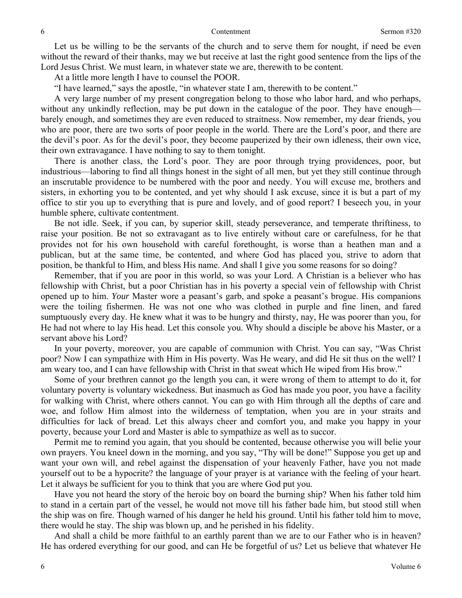Let us be willing to be the servants of the church and to serve them for nought, if need be even without the reward of their thanks, may we but receive at last the right good sentence from the lips of the Lord Jesus Christ. We must learn, in whatever state we are, therewith to be content.

At a little more length I have to counsel the POOR.

"I have learned," says the apostle, "in whatever state I am, therewith to be content."

A very large number of my present congregation belong to those who labor hard, and who perhaps, without any unkindly reflection, may be put down in the catalogue of the poor. They have enough barely enough, and sometimes they are even reduced to straitness. Now remember, my dear friends, you who are poor, there are two sorts of poor people in the world. There are the Lord's poor, and there are the devil's poor. As for the devil's poor, they become pauperized by their own idleness, their own vice, their own extravagance. I have nothing to say to them tonight.

There is another class, the Lord's poor. They are poor through trying providences, poor, but industrious—laboring to find all things honest in the sight of all men, but yet they still continue through an inscrutable providence to be numbered with the poor and needy. You will excuse me, brothers and sisters, in exhorting you to be contented, and yet why should I ask excuse, since it is but a part of my office to stir you up to everything that is pure and lovely, and of good report? I beseech you, in your humble sphere, cultivate contentment.

Be not idle. Seek, if you can, by superior skill, steady perseverance, and temperate thriftiness, to raise your position. Be not so extravagant as to live entirely without care or carefulness, for he that provides not for his own household with careful forethought, is worse than a heathen man and a publican, but at the same time, be contented, and where God has placed you, strive to adorn that position, be thankful to Him, and bless His name. And shall I give you some reasons for so doing?

Remember, that if you are poor in this world, so was your Lord. A Christian is a believer who has fellowship with Christ, but a poor Christian has in his poverty a special vein of fellowship with Christ opened up to him. *Your* Master wore a peasant's garb, and spoke a peasant's brogue. His companions were the toiling fishermen. He was not one who was clothed in purple and fine linen, and fared sumptuously every day. He knew what it was to be hungry and thirsty, nay, He was poorer than you, for He had not where to lay His head. Let this console you. Why should a disciple be above his Master, or a servant above his Lord?

In your poverty, moreover, you are capable of communion with Christ. You can say, "Was Christ poor? Now I can sympathize with Him in His poverty. Was He weary, and did He sit thus on the well? I am weary too, and I can have fellowship with Christ in that sweat which He wiped from His brow."

Some of your brethren cannot go the length you can, it were wrong of them to attempt to do it, for voluntary poverty is voluntary wickedness. But inasmuch as God has made you poor, you have a facility for walking with Christ, where others cannot. You can go with Him through all the depths of care and woe, and follow Him almost into the wilderness of temptation, when you are in your straits and difficulties for lack of bread. Let this always cheer and comfort you, and make you happy in your poverty, because your Lord and Master is able to sympathize as well as to succor.

Permit me to remind you again, that you should be contented, because otherwise you will belie your own prayers. You kneel down in the morning, and you say, "Thy will be done!" Suppose you get up and want your own will, and rebel against the dispensation of your heavenly Father, have you not made yourself out to be a hypocrite? the language of your prayer is at variance with the feeling of your heart. Let it always be sufficient for you to think that you are where God put you.

Have you not heard the story of the heroic boy on board the burning ship? When his father told him to stand in a certain part of the vessel, he would not move till his father bade him, but stood still when the ship was on fire. Though warned of his danger he held his ground. Until his father told him to move, there would he stay. The ship was blown up, and he perished in his fidelity.

And shall a child be more faithful to an earthly parent than we are to our Father who is in heaven? He has ordered everything for our good, and can He be forgetful of us? Let us believe that whatever He

6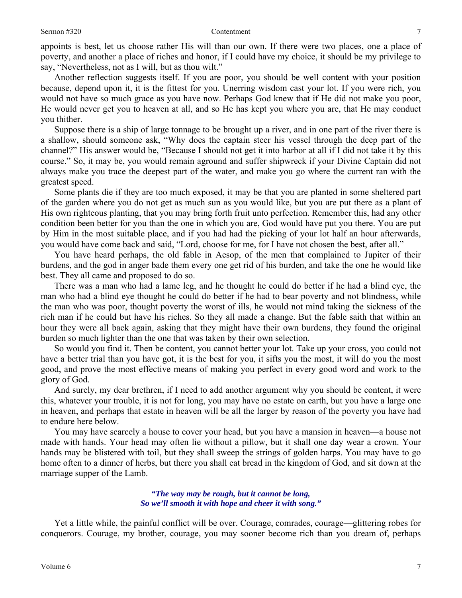appoints is best, let us choose rather His will than our own. If there were two places, one a place of poverty, and another a place of riches and honor, if I could have my choice, it should be my privilege to say, "Nevertheless, not as I will, but as thou wilt."

Another reflection suggests itself. If you are poor, you should be well content with your position because, depend upon it, it is the fittest for you. Unerring wisdom cast your lot. If you were rich, you would not have so much grace as you have now. Perhaps God knew that if He did not make you poor, He would never get you to heaven at all, and so He has kept you where you are, that He may conduct you thither.

Suppose there is a ship of large tonnage to be brought up a river, and in one part of the river there is a shallow, should someone ask, "Why does the captain steer his vessel through the deep part of the channel?" His answer would be, "Because I should not get it into harbor at all if I did not take it by this course." So, it may be, you would remain aground and suffer shipwreck if your Divine Captain did not always make you trace the deepest part of the water, and make you go where the current ran with the greatest speed.

Some plants die if they are too much exposed, it may be that you are planted in some sheltered part of the garden where you do not get as much sun as you would like, but you are put there as a plant of His own righteous planting, that you may bring forth fruit unto perfection. Remember this, had any other condition been better for you than the one in which you are, God would have put you there. You are put by Him in the most suitable place, and if you had had the picking of your lot half an hour afterwards, you would have come back and said, "Lord, choose for me, for I have not chosen the best, after all."

You have heard perhaps, the old fable in Aesop, of the men that complained to Jupiter of their burdens, and the god in anger bade them every one get rid of his burden, and take the one he would like best. They all came and proposed to do so.

There was a man who had a lame leg, and he thought he could do better if he had a blind eye, the man who had a blind eye thought he could do better if he had to bear poverty and not blindness, while the man who was poor, thought poverty the worst of ills, he would not mind taking the sickness of the rich man if he could but have his riches. So they all made a change. But the fable saith that within an hour they were all back again, asking that they might have their own burdens, they found the original burden so much lighter than the one that was taken by their own selection.

So would you find it. Then be content, you cannot better your lot. Take up your cross, you could not have a better trial than you have got, it is the best for you, it sifts you the most, it will do you the most good, and prove the most effective means of making you perfect in every good word and work to the glory of God.

And surely, my dear brethren, if I need to add another argument why you should be content, it were this, whatever your trouble, it is not for long, you may have no estate on earth, but you have a large one in heaven, and perhaps that estate in heaven will be all the larger by reason of the poverty you have had to endure here below.

You may have scarcely a house to cover your head, but you have a mansion in heaven—a house not made with hands. Your head may often lie without a pillow, but it shall one day wear a crown. Your hands may be blistered with toil, but they shall sweep the strings of golden harps. You may have to go home often to a dinner of herbs, but there you shall eat bread in the kingdom of God, and sit down at the marriage supper of the Lamb.

### *"The way may be rough, but it cannot be long, So we'll smooth it with hope and cheer it with song."*

Yet a little while, the painful conflict will be over. Courage, comrades, courage—glittering robes for conquerors. Courage, my brother, courage, you may sooner become rich than you dream of, perhaps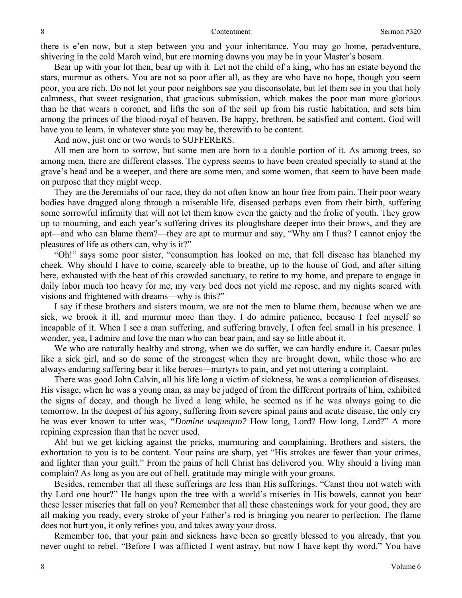there is e'en now, but a step between you and your inheritance. You may go home, peradventure, shivering in the cold March wind, but ere morning dawns you may be in your Master's bosom.

Bear up with your lot then, bear up with it. Let not the child of a king, who has an estate beyond the stars, murmur as others. You are not so poor after all, as they are who have no hope, though you seem poor, you are rich. Do not let your poor neighbors see you disconsolate, but let them see in you that holy calmness, that sweet resignation, that gracious submission, which makes the poor man more glorious than he that wears a coronet, and lifts the son of the soil up from his rustic habitation, and sets him among the princes of the blood-royal of heaven. Be happy, brethren, be satisfied and content. God will have you to learn, in whatever state you may be, therewith to be content.

And now, just one or two words to SUFFERERS.

All men are born to sorrow, but some men are born to a double portion of it. As among trees, so among men, there are different classes. The cypress seems to have been created specially to stand at the grave's head and be a weeper, and there are some men, and some women, that seem to have been made on purpose that they might weep.

They are the Jeremiahs of our race, they do not often know an hour free from pain. Their poor weary bodies have dragged along through a miserable life, diseased perhaps even from their birth, suffering some sorrowful infirmity that will not let them know even the gaiety and the frolic of youth. They grow up to mourning, and each year's suffering drives its ploughshare deeper into their brows, and they are apt—and who can blame them?—they are apt to murmur and say, "Why am I thus? I cannot enjoy the pleasures of life as others can, why is it?"

"Oh!" says some poor sister, "consumption has looked on me, that fell disease has blanched my cheek. Why should I have to come, scarcely able to breathe, up to the house of God, and after sitting here, exhausted with the heat of this crowded sanctuary, to retire to my home, and prepare to engage in daily labor much too heavy for me, my very bed does not yield me repose, and my nights scared with visions and frightened with dreams—why is this?"

I say if these brothers and sisters mourn, we are not the men to blame them, because when we are sick, we brook it ill, and murmur more than they. I do admire patience, because I feel myself so incapable of it. When I see a man suffering, and suffering bravely, I often feel small in his presence. I wonder, yea, I admire and love the man who can bear pain, and say so little about it.

We who are naturally healthy and strong, when we do suffer, we can hardly endure it. Caesar pules like a sick girl, and so do some of the strongest when they are brought down, while those who are always enduring suffering bear it like heroes—martyrs to pain, and yet not uttering a complaint.

There was good John Calvin, all his life long a victim of sickness, he was a complication of diseases. His visage, when he was a young man, as may be judged of from the different portraits of him, exhibited the signs of decay, and though he lived a long while, he seemed as if he was always going to die tomorrow. In the deepest of his agony, suffering from severe spinal pains and acute disease, the only cry he was ever known to utter was, *"Domine usquequo?* How long, Lord? How long, Lord?" A more repining expression than that he never used.

Ah! but we get kicking against the pricks, murmuring and complaining. Brothers and sisters, the exhortation to you is to be content. Your pains are sharp, yet "His strokes are fewer than your crimes, and lighter than your guilt." From the pains of hell Christ has delivered you. Why should a living man complain? As long as you are out of hell, gratitude may mingle with your groans.

Besides, remember that all these sufferings are less than His sufferings. "Canst thou not watch with thy Lord one hour?" He hangs upon the tree with a world's miseries in His bowels, cannot you bear these lesser miseries that fall on you? Remember that all these chastenings work for your good, they are all making you ready, every stroke of your Father's rod is bringing you nearer to perfection. The flame does not hurt you, it only refines you, and takes away your dross.

Remember too, that your pain and sickness have been so greatly blessed to you already, that you never ought to rebel. "Before I was afflicted I went astray, but now I have kept thy word." You have